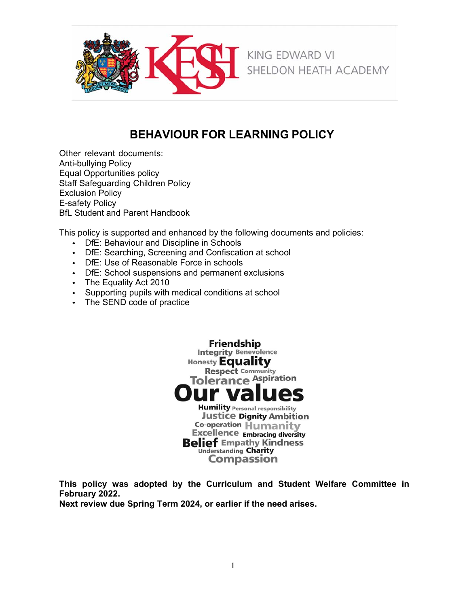

# **BEHAVIOUR FOR LEARNING POLICY**

Other relevant documents: Anti-bullying Policy Equal Opportunities policy Staff Safeguarding Children Policy Exclusion Policy E-safety Policy BfL Student and Parent Handbook

This policy is supported and enhanced by the following documents and policies:

- DfE: Behaviour and Discipline in Schools
- DfE: Searching, Screening and Confiscation at school
- DfE: Use of Reasonable Force in schools
- DfE: School suspensions and permanent exclusions
- The Equality Act 2010
- Supporting pupils with medical conditions at school
- The SEND code of practice



**This policy was adopted by the Curriculum and Student Welfare Committee in February 2022.**

**Next review due Spring Term 2024, or earlier if the need arises.**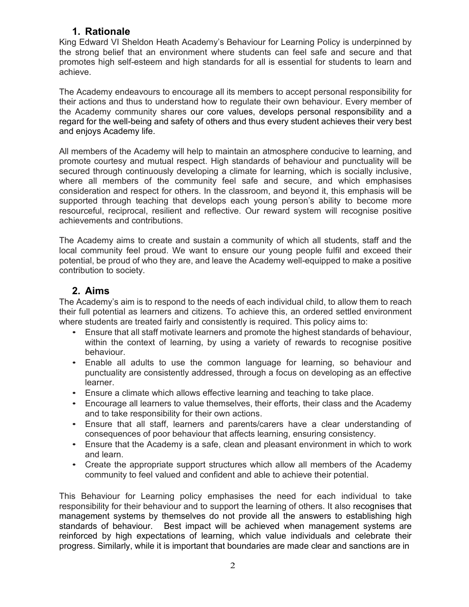## **1. Rationale**

King Edward VI Sheldon Heath Academy's Behaviour for Learning Policy is underpinned by the strong belief that an environment where students can feel safe and secure and that promotes high self-esteem and high standards for all is essential for students to learn and achieve.

The Academy endeavours to encourage all its members to accept personal responsibility for their actions and thus to understand how to regulate their own behaviour. Every member of the Academy community shares our core values, develops personal responsibility and a regard for the well-being and safety of others and thus every student achieves their very best and enjoys Academy life.

All members of the Academy will help to maintain an atmosphere conducive to learning, and promote courtesy and mutual respect. High standards of behaviour and punctuality will be secured through continuously developing a climate for learning, which is socially inclusive, where all members of the community feel safe and secure, and which emphasises consideration and respect for others. In the classroom, and beyond it, this emphasis will be supported through teaching that develops each young person's ability to become more resourceful, reciprocal, resilient and reflective. Our reward system will recognise positive achievements and contributions.

The Academy aims to create and sustain a community of which all students, staff and the local community feel proud. We want to ensure our young people fulfil and exceed their potential, be proud of who they are, and leave the Academy well-equipped to make a positive contribution to society.

### **2. Aims**

The Academy's aim is to respond to the needs of each individual child, to allow them to reach their full potential as learners and citizens. To achieve this, an ordered settled environment where students are treated fairly and consistently is required. This policy aims to:

- Ensure that all staff motivate learners and promote the highest standards of behaviour, within the context of learning, by using a variety of rewards to recognise positive behaviour.
- Enable all adults to use the common language for learning, so behaviour and punctuality are consistently addressed, through a focus on developing as an effective learner.
- Ensure a climate which allows effective learning and teaching to take place.
- Encourage all learners to value themselves, their efforts, their class and the Academy and to take responsibility for their own actions.
- Ensure that all staff, learners and parents/carers have a clear understanding of consequences of poor behaviour that affects learning, ensuring consistency.
- Ensure that the Academy is a safe, clean and pleasant environment in which to work and learn.
- Create the appropriate support structures which allow all members of the Academy community to feel valued and confident and able to achieve their potential.

This Behaviour for Learning policy emphasises the need for each individual to take responsibility for their behaviour and to support the learning of others. It also recognises that management systems by themselves do not provide all the answers to establishing high standards of behaviour. Best impact will be achieved when management systems are reinforced by high expectations of learning, which value individuals and celebrate their progress. Similarly, while it is important that boundaries are made clear and sanctions are in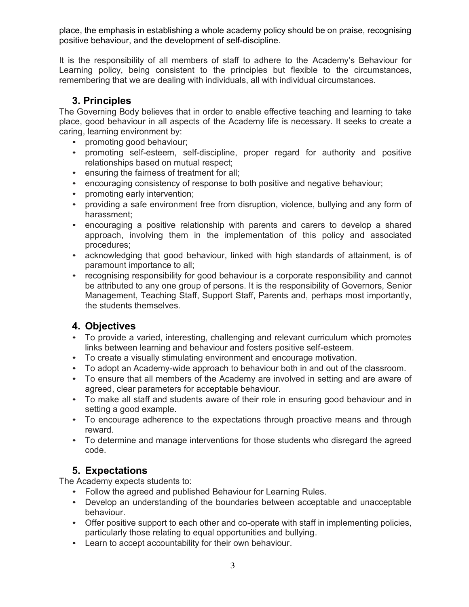place, the emphasis in establishing a whole academy policy should be on praise, recognising positive behaviour, and the development of self-discipline.

It is the responsibility of all members of staff to adhere to the Academy's Behaviour for Learning policy, being consistent to the principles but flexible to the circumstances, remembering that we are dealing with individuals, all with individual circumstances.

## **3. Principles**

The Governing Body believes that in order to enable effective teaching and learning to take place, good behaviour in all aspects of the Academy life is necessary. It seeks to create a caring, learning environment by:

- promoting good behaviour;
- promoting self-esteem, self-discipline, proper regard for authority and positive relationships based on mutual respect;
- ensuring the fairness of treatment for all;
- encouraging consistency of response to both positive and negative behaviour;
- promoting early intervention;
- providing a safe environment free from disruption, violence, bullying and any form of harassment;
- encouraging a positive relationship with parents and carers to develop a shared approach, involving them in the implementation of this policy and associated procedures;
- acknowledging that good behaviour, linked with high standards of attainment, is of paramount importance to all;
- recognising responsibility for good behaviour is a corporate responsibility and cannot be attributed to any one group of persons. It is the responsibility of Governors, Senior Management, Teaching Staff, Support Staff, Parents and, perhaps most importantly, the students themselves.

## **4. Objectives**

- To provide a varied, interesting, challenging and relevant curriculum which promotes links between learning and behaviour and fosters positive self-esteem.
- To create a visually stimulating environment and encourage motivation.
- To adopt an Academy-wide approach to behaviour both in and out of the classroom.
- To ensure that all members of the Academy are involved in setting and are aware of agreed, clear parameters for acceptable behaviour.
- To make all staff and students aware of their role in ensuring good behaviour and in setting a good example.
- To encourage adherence to the expectations through proactive means and through reward.
- To determine and manage interventions for those students who disregard the agreed code.

## **5. Expectations**

The Academy expects students to:

- Follow the agreed and published Behaviour for Learning Rules.
- Develop an understanding of the boundaries between acceptable and unacceptable behaviour.
- Offer positive support to each other and co-operate with staff in implementing policies, particularly those relating to equal opportunities and bullying.
- Learn to accept accountability for their own behaviour.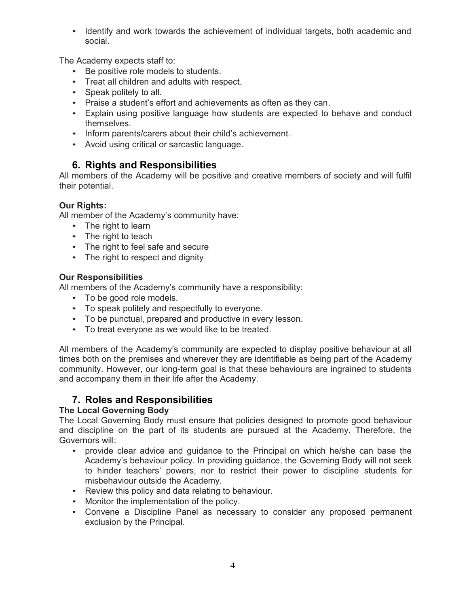• Identify and work towards the achievement of individual targets, both academic and social.

The Academy expects staff to:

- Be positive role models to students.
- Treat all children and adults with respect.
- Speak politely to all.
- Praise a student's effort and achievements as often as they can.
- Explain using positive language how students are expected to behave and conduct themselves.
- Inform parents/carers about their child's achievement.
- Avoid using critical or sarcastic language.

## **6. Rights and Responsibilities**

All members of the Academy will be positive and creative members of society and will fulfil their potential.

### **Our Rights:**

All member of the Academy's community have:

- The right to learn
- The right to teach
- The right to feel safe and secure
- The right to respect and dignity

### **Our Responsibilities**

All members of the Academy's community have a responsibility:

- To be good role models.
- To speak politely and respectfully to everyone.
- To be punctual, prepared and productive in every lesson.
- To treat everyone as we would like to be treated.

All members of the Academy's community are expected to display positive behaviour at all times both on the premises and wherever they are identifiable as being part of the Academy community. However, our long-term goal is that these behaviours are ingrained to students and accompany them in their life after the Academy.

## **7. Roles and Responsibilities**

### **The Local Governing Body**

The Local Governing Body must ensure that policies designed to promote good behaviour and discipline on the part of its students are pursued at the Academy. Therefore, the Governors will:

- provide clear advice and guidance to the Principal on which he/she can base the Academy's behaviour policy. In providing guidance, the Governing Body will not seek to hinder teachers' powers, nor to restrict their power to discipline students for misbehaviour outside the Academy.
- Review this policy and data relating to behaviour.
- Monitor the implementation of the policy.
- Convene a Discipline Panel as necessary to consider any proposed permanent exclusion by the Principal.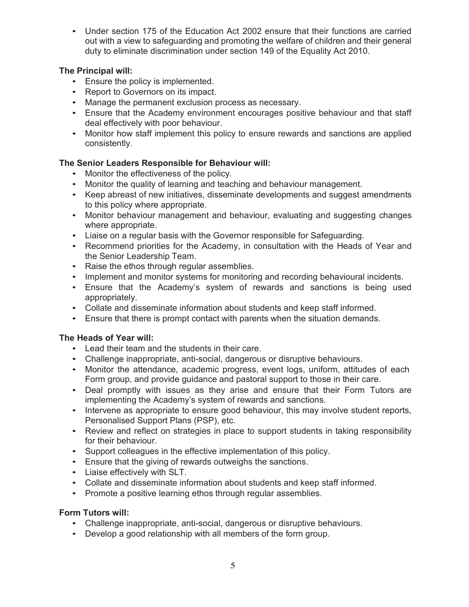• Under section 175 of the Education Act 2002 ensure that their functions are carried out with a view to safeguarding and promoting the welfare of children and their general duty to eliminate discrimination under section 149 of the Equality Act 2010.

### **The Principal will:**

- Ensure the policy is implemented.
- Report to Governors on its impact.
- Manage the permanent exclusion process as necessary.
- Ensure that the Academy environment encourages positive behaviour and that staff deal effectively with poor behaviour.
- Monitor how staff implement this policy to ensure rewards and sanctions are applied consistently.

### **The Senior Leaders Responsible for Behaviour will:**

- Monitor the effectiveness of the policy.
- Monitor the quality of learning and teaching and behaviour management.
- Keep abreast of new initiatives, disseminate developments and suggest amendments to this policy where appropriate.
- Monitor behaviour management and behaviour, evaluating and suggesting changes where appropriate.
- Liaise on a regular basis with the Governor responsible for Safeguarding.
- Recommend priorities for the Academy, in consultation with the Heads of Year and the Senior Leadership Team.
- Raise the ethos through regular assemblies.
- Implement and monitor systems for monitoring and recording behavioural incidents.
- Ensure that the Academy's system of rewards and sanctions is being used appropriately.
- Collate and disseminate information about students and keep staff informed.
- Ensure that there is prompt contact with parents when the situation demands.

### **The Heads of Year will:**

- Lead their team and the students in their care.
- Challenge inappropriate, anti-social, dangerous or disruptive behaviours.
- Monitor the attendance, academic progress, event logs, uniform, attitudes of each Form group, and provide guidance and pastoral support to those in their care.
- Deal promptly with issues as they arise and ensure that their Form Tutors are implementing the Academy's system of rewards and sanctions.
- Intervene as appropriate to ensure good behaviour, this may involve student reports, Personalised Support Plans (PSP), etc.
- Review and reflect on strategies in place to support students in taking responsibility for their behaviour.
- Support colleagues in the effective implementation of this policy.
- Ensure that the giving of rewards outweighs the sanctions.
- Liaise effectively with SLT.
- Collate and disseminate information about students and keep staff informed.
- Promote a positive learning ethos through regular assemblies.

### **Form Tutors will:**

- Challenge inappropriate, anti-social, dangerous or disruptive behaviours.
- Develop a good relationship with all members of the form group.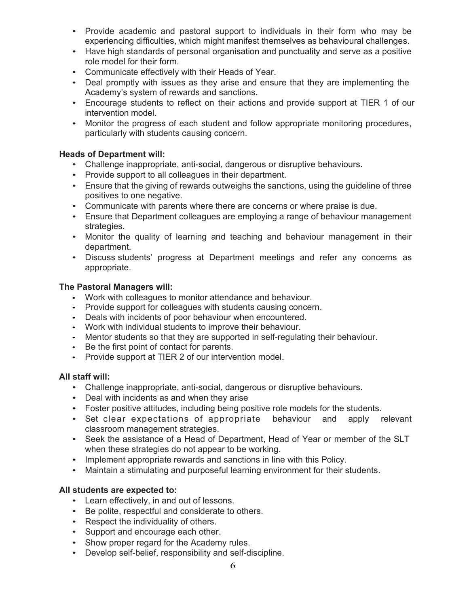- Provide academic and pastoral support to individuals in their form who may be experiencing difficulties, which might manifest themselves as behavioural challenges.
- Have high standards of personal organisation and punctuality and serve as a positive role model for their form.
- Communicate effectively with their Heads of Year.
- Deal promptly with issues as they arise and ensure that they are implementing the Academy's system of rewards and sanctions.
- Encourage students to reflect on their actions and provide support at TIER 1 of our intervention model.
- Monitor the progress of each student and follow appropriate monitoring procedures, particularly with students causing concern.

#### **Heads of Department will:**

- Challenge inappropriate, anti-social, dangerous or disruptive behaviours.
- Provide support to all colleagues in their department.
- Ensure that the giving of rewards outweighs the sanctions, using the guideline of three positives to one negative.
- Communicate with parents where there are concerns or where praise is due.
- Ensure that Department colleagues are employing a range of behaviour management strategies.
- Monitor the quality of learning and teaching and behaviour management in their department.
- Discuss students' progress at Department meetings and refer any concerns as appropriate.

#### **The Pastoral Managers will:**

- Work with colleagues to monitor attendance and behaviour.
- Provide support for colleagues with students causing concern.
- Deals with incidents of poor behaviour when encountered.
- Work with individual students to improve their behaviour.
- Mentor students so that they are supported in self-regulating their behaviour.
- Be the first point of contact for parents.
- Provide support at TIER 2 of our intervention model.

### **All staff will:**

- Challenge inappropriate, anti-social, dangerous or disruptive behaviours.
- Deal with incidents as and when they arise
- Foster positive attitudes, including being positive role models for the students.
- Set clear expectations of appropriate behaviour and apply relevant classroom management strategies.
- Seek the assistance of a Head of Department, Head of Year or member of the SLT when these strategies do not appear to be working.
- Implement appropriate rewards and sanctions in line with this Policy.
- Maintain a stimulating and purposeful learning environment for their students.

#### **All students are expected to:**

- Learn effectively, in and out of lessons.
- Be polite, respectful and considerate to others.
- Respect the individuality of others.
- Support and encourage each other.
- Show proper regard for the Academy rules.
- Develop self-belief, responsibility and self-discipline.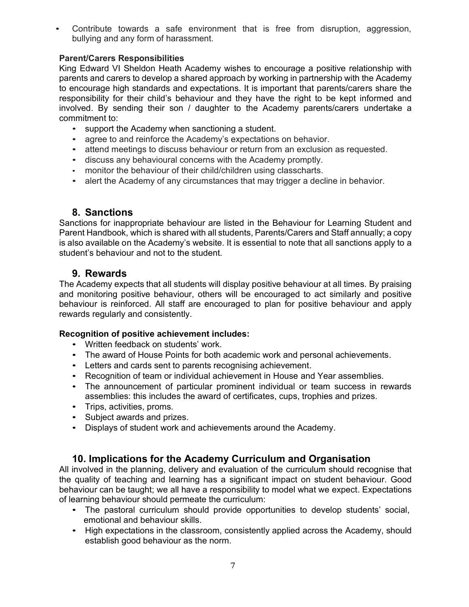• Contribute towards a safe environment that is free from disruption, aggression, bullying and any form of harassment.

### **Parent/Carers Responsibilities**

King Edward VI Sheldon Heath Academy wishes to encourage a positive relationship with parents and carers to develop a shared approach by working in partnership with the Academy to encourage high standards and expectations. It is important that parents/carers share the responsibility for their child's behaviour and they have the right to be kept informed and involved. By sending their son / daughter to the Academy parents/carers undertake a commitment to:

- support the Academy when sanctioning a student.
- agree to and reinforce the Academy's expectations on behavior.
- attend meetings to discuss behaviour or return from an exclusion as requested.
- discuss any behavioural concerns with the Academy promptly.
- monitor the behaviour of their child/children using classcharts.
- alert the Academy of any circumstances that may trigger a decline in behavior.

## **8. Sanctions**

Sanctions for inappropriate behaviour are listed in the Behaviour for Learning Student and Parent Handbook, which is shared with all students, Parents/Carers and Staff annually; a copy is also available on the Academy's website. It is essential to note that all sanctions apply to a student's behaviour and not to the student.

## **9. Rewards**

The Academy expects that all students will display positive behaviour at all times. By praising and monitoring positive behaviour, others will be encouraged to act similarly and positive behaviour is reinforced. All staff are encouraged to plan for positive behaviour and apply rewards regularly and consistently.

### **Recognition of positive achievement includes:**

- Written feedback on students' work.
- The award of House Points for both academic work and personal achievements.
- Letters and cards sent to parents recognising achievement.
- Recognition of team or individual achievement in House and Year assemblies.
- The announcement of particular prominent individual or team success in rewards assemblies: this includes the award of certificates, cups, trophies and prizes.
- Trips, activities, proms.
- Subject awards and prizes.
- Displays of student work and achievements around the Academy.

## **10. Implications for the Academy Curriculum and Organisation**

All involved in the planning, delivery and evaluation of the curriculum should recognise that the quality of teaching and learning has a significant impact on student behaviour. Good behaviour can be taught; we all have a responsibility to model what we expect. Expectations of learning behaviour should permeate the curriculum:

- The pastoral curriculum should provide opportunities to develop students' social, emotional and behaviour skills.
- High expectations in the classroom, consistently applied across the Academy, should establish good behaviour as the norm.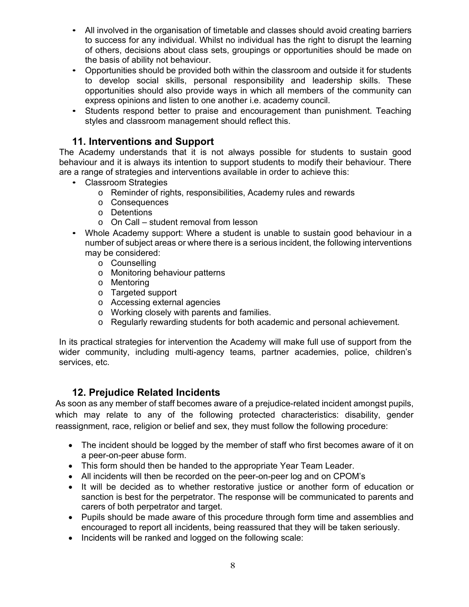- All involved in the organisation of timetable and classes should avoid creating barriers to success for any individual. Whilst no individual has the right to disrupt the learning of others, decisions about class sets, groupings or opportunities should be made on the basis of ability not behaviour.
- Opportunities should be provided both within the classroom and outside it for students to develop social skills, personal responsibility and leadership skills. These opportunities should also provide ways in which all members of the community can express opinions and listen to one another i.e. academy council.
- Students respond better to praise and encouragement than punishment. Teaching styles and classroom management should reflect this.

## **11. Interventions and Support**

The Academy understands that it is not always possible for students to sustain good behaviour and it is always its intention to support students to modify their behaviour. There are a range of strategies and interventions available in order to achieve this:

- Classroom Strategies
	- o Reminder of rights, responsibilities, Academy rules and rewards
	- o Consequences
	- o Detentions
	- o On Call student removal from lesson
- Whole Academy support: Where a student is unable to sustain good behaviour in a number of subject areas or where there is a serious incident, the following interventions may be considered:
	- o Counselling
	- o Monitoring behaviour patterns
	- o Mentoring
	- o Targeted support
	- o Accessing external agencies
	- o Working closely with parents and families.
	- o Regularly rewarding students for both academic and personal achievement.

In its practical strategies for intervention the Academy will make full use of support from the wider community, including multi-agency teams, partner academies, police, children's services, etc.

### **12. Prejudice Related Incidents**

As soon as any member of staff becomes aware of a prejudice-related incident amongst pupils, which may relate to any of the following protected characteristics: disability, gender reassignment, race, religion or belief and sex, they must follow the following procedure:

- The incident should be logged by the member of staff who first becomes aware of it on a peer-on-peer abuse form.
- This form should then be handed to the appropriate Year Team Leader.
- All incidents will then be recorded on the peer-on-peer log and on CPOM's
- It will be decided as to whether restorative justice or another form of education or sanction is best for the perpetrator. The response will be communicated to parents and carers of both perpetrator and target.
- Pupils should be made aware of this procedure through form time and assemblies and encouraged to report all incidents, being reassured that they will be taken seriously.
- Incidents will be ranked and logged on the following scale: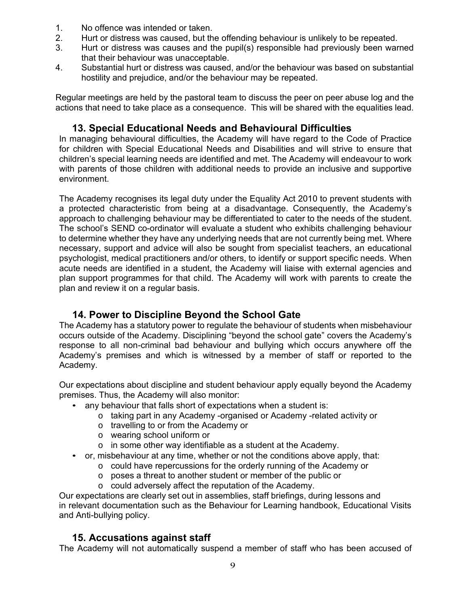- 1. No offence was intended or taken.
- 2. Hurt or distress was caused, but the offending behaviour is unlikely to be repeated.
- 3. Hurt or distress was causes and the pupil(s) responsible had previously been warned that their behaviour was unacceptable.
- 4. Substantial hurt or distress was caused, and/or the behaviour was based on substantial hostility and prejudice, and/or the behaviour may be repeated.

Regular meetings are held by the pastoral team to discuss the peer on peer abuse log and the actions that need to take place as a consequence. This will be shared with the equalities lead.

## **13. Special Educational Needs and Behavioural Difficulties**

In managing behavioural difficulties, the Academy will have regard to the Code of Practice for children with Special Educational Needs and Disabilities and will strive to ensure that children's special learning needs are identified and met. The Academy will endeavour to work with parents of those children with additional needs to provide an inclusive and supportive environment.

The Academy recognises its legal duty under the Equality Act 2010 to prevent students with a protected characteristic from being at a disadvantage. Consequently, the Academy's approach to challenging behaviour may be differentiated to cater to the needs of the student. The school's SEND co-ordinator will evaluate a student who exhibits challenging behaviour to determine whether they have any underlying needs that are not currently being met. Where necessary, support and advice will also be sought from specialist teachers, an educational psychologist, medical practitioners and/or others, to identify or support specific needs. When acute needs are identified in a student, the Academy will liaise with external agencies and plan support programmes for that child. The Academy will work with parents to create the plan and review it on a regular basis.

## **14. Power to Discipline Beyond the School Gate**

The Academy has a statutory power to regulate the behaviour of students when misbehaviour occurs outside of the Academy. Disciplining "beyond the school gate" covers the Academy's response to all non-criminal bad behaviour and bullying which occurs anywhere off the Academy's premises and which is witnessed by a member of staff or reported to the Academy.

Our expectations about discipline and student behaviour apply equally beyond the Academy premises. Thus, the Academy will also monitor:

- any behaviour that falls short of expectations when a student is:
	- o taking part in any Academy -organised or Academy -related activity or
	- o travelling to or from the Academy or
	- o wearing school uniform or
	- $\circ$  in some other way identifiable as a student at the Academy.
- or, misbehaviour at any time, whether or not the conditions above apply, that:
	- o could have repercussions for the orderly running of the Academy or
	- o poses a threat to another student or member of the public or
	- o could adversely affect the reputation of the Academy.

Our expectations are clearly set out in assemblies, staff briefings, during lessons and in relevant documentation such as the Behaviour for Learning handbook, Educational Visits and Anti-bullying policy.

### **15. Accusations against staff**

The Academy will not automatically suspend a member of staff who has been accused of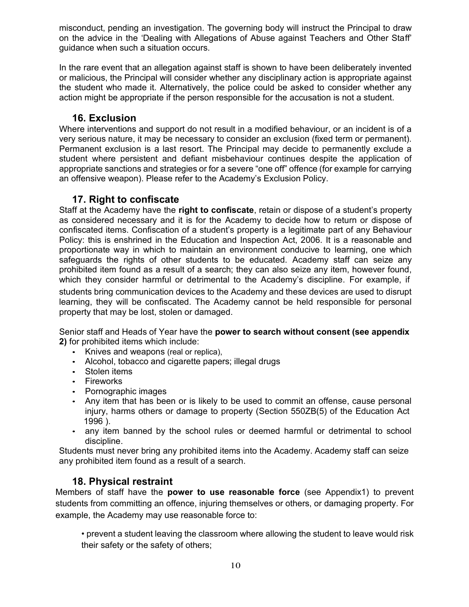misconduct, pending an investigation. The governing body will instruct the Principal to draw on the advice in the 'Dealing with Allegations of Abuse against Teachers and Other Staff' guidance when such a situation occurs.

In the rare event that an allegation against staff is shown to have been deliberately invented or malicious, the Principal will consider whether any disciplinary action is appropriate against the student who made it. Alternatively, the police could be asked to consider whether any action might be appropriate if the person responsible for the accusation is not a student.

### **16. Exclusion**

Where interventions and support do not result in a modified behaviour, or an incident is of a very serious nature, it may be necessary to consider an exclusion (fixed term or permanent). Permanent exclusion is a last resort. The Principal may decide to permanently exclude a student where persistent and defiant misbehaviour continues despite the application of appropriate sanctions and strategies or for a severe "one off" offence (for example for carrying an offensive weapon). Please refer to the Academy's Exclusion Policy.

### **17. Right to confiscate**

Staff at the Academy have the **right to confiscate**, retain or dispose of a student's property as considered necessary and it is for the Academy to decide how to return or dispose of confiscated items. Confiscation of a student's property is a legitimate part of any Behaviour Policy: this is enshrined in the Education and Inspection Act, 2006. It is a reasonable and proportionate way in which to maintain an environment conducive to learning, one which safeguards the rights of other students to be educated. Academy staff can seize any prohibited item found as a result of a search; they can also seize any item, however found, which they consider harmful or detrimental to the Academy's discipline. For example, if students bring communication devices to the Academy and these devices are used to disrupt learning, they will be confiscated. The Academy cannot be held responsible for personal property that may be lost, stolen or damaged.

Senior staff and Heads of Year have the **power to search without consent (see appendix 2)** for prohibited items which include:

- Knives and weapons (real or replica),
- Alcohol, tobacco and cigarette papers; illegal drugs
- Stolen items
- Fireworks
- Pornographic images
- Any item that has been or is likely to be used to commit an offense, cause personal injury, harms others or damage to property (Section 550ZB(5) of the Education Act 1996 ).
- any item banned by the school rules or deemed harmful or detrimental to school discipline.

Students must never bring any prohibited items into the Academy. Academy staff can seize any prohibited item found as a result of a search.

## **18. Physical restraint**

Members of staff have the **power to use reasonable force** (see Appendix1) to prevent students from committing an offence, injuring themselves or others, or damaging property. For example, the Academy may use reasonable force to:

• prevent a student leaving the classroom where allowing the student to leave would risk their safety or the safety of others;